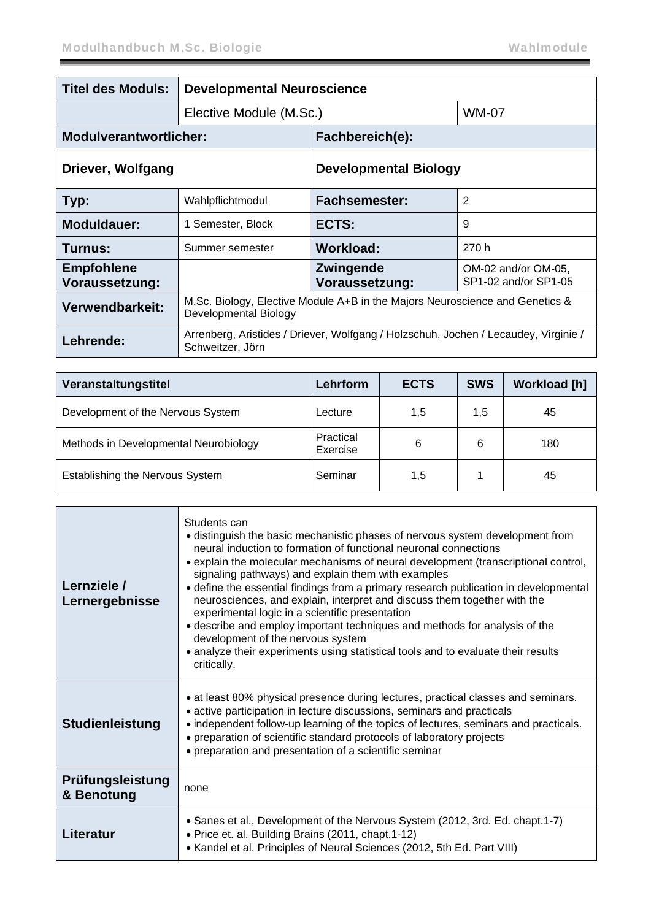| <b>Titel des Moduls:</b>            | <b>Developmental Neuroscience</b>                                                                       |                                        |                                             |  |
|-------------------------------------|---------------------------------------------------------------------------------------------------------|----------------------------------------|---------------------------------------------|--|
|                                     | Elective Module (M.Sc.)                                                                                 |                                        | <b>WM-07</b>                                |  |
| <b>Modulverantwortlicher:</b>       |                                                                                                         | Fachbereich(e):                        |                                             |  |
| Driever, Wolfgang                   |                                                                                                         | <b>Developmental Biology</b>           |                                             |  |
| Typ:                                | Wahlpflichtmodul                                                                                        | $\overline{2}$<br><b>Fachsemester:</b> |                                             |  |
| Moduldauer:                         | 1 Semester, Block                                                                                       | ECTS:                                  | 9                                           |  |
| Turnus:                             | Summer semester                                                                                         | <b>Workload:</b>                       | 270 h                                       |  |
| <b>Empfohlene</b><br>Voraussetzung: |                                                                                                         | Zwingende<br>Voraussetzung:            | OM-02 and/or OM-05,<br>SP1-02 and/or SP1-05 |  |
| Verwendbarkeit:                     | M.Sc. Biology, Elective Module A+B in the Majors Neuroscience and Genetics &<br>Developmental Biology   |                                        |                                             |  |
| Lehrende:                           | Arrenberg, Aristides / Driever, Wolfgang / Holzschuh, Jochen / Lecaudey, Virginie /<br>Schweitzer, Jörn |                                        |                                             |  |

| Veranstaltungstitel                   | Lehrform              | <b>ECTS</b> | <b>SWS</b> | <b>Workload [h]</b> |
|---------------------------------------|-----------------------|-------------|------------|---------------------|
| Development of the Nervous System     | Lecture               | 1,5         | 1,5        | 45                  |
| Methods in Developmental Neurobiology | Practical<br>Exercise | 6           | 6          | 180                 |
| Establishing the Nervous System       | Seminar               | 1,5         |            | 45                  |

| Lernziele /<br>Lernergebnisse  | Students can<br>• distinguish the basic mechanistic phases of nervous system development from<br>neural induction to formation of functional neuronal connections<br>• explain the molecular mechanisms of neural development (transcriptional control,<br>signaling pathways) and explain them with examples<br>• define the essential findings from a primary research publication in developmental<br>neurosciences, and explain, interpret and discuss them together with the<br>experimental logic in a scientific presentation<br>• describe and employ important techniques and methods for analysis of the<br>development of the nervous system<br>• analyze their experiments using statistical tools and to evaluate their results<br>critically. |
|--------------------------------|-------------------------------------------------------------------------------------------------------------------------------------------------------------------------------------------------------------------------------------------------------------------------------------------------------------------------------------------------------------------------------------------------------------------------------------------------------------------------------------------------------------------------------------------------------------------------------------------------------------------------------------------------------------------------------------------------------------------------------------------------------------|
| <b>Studienleistung</b>         | • at least 80% physical presence during lectures, practical classes and seminars.<br>• active participation in lecture discussions, seminars and practicals<br>• independent follow-up learning of the topics of lectures, seminars and practicals.<br>• preparation of scientific standard protocols of laboratory projects<br>• preparation and presentation of a scientific seminar                                                                                                                                                                                                                                                                                                                                                                      |
| Prüfungsleistung<br>& Benotung | none                                                                                                                                                                                                                                                                                                                                                                                                                                                                                                                                                                                                                                                                                                                                                        |
| Literatur                      | • Sanes et al., Development of the Nervous System (2012, 3rd. Ed. chapt.1-7)<br>• Price et. al. Building Brains (2011, chapt.1-12)<br>• Kandel et al. Principles of Neural Sciences (2012, 5th Ed. Part VIII)                                                                                                                                                                                                                                                                                                                                                                                                                                                                                                                                               |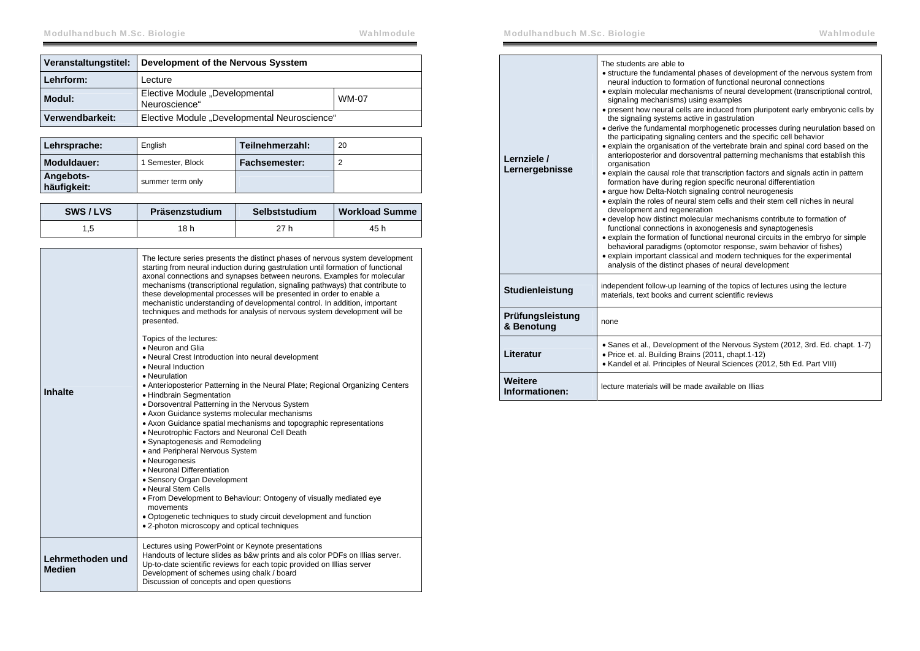| Veranstaltungstitel: | Development of the Nervous Sysstem              |       |
|----------------------|-------------------------------------------------|-------|
| Lehrform:            | Lecture                                         |       |
| Modul:               | Elective Module "Developmental<br>Neuroscience" | WM-07 |
| Verwendbarkeit:      | Elective Module "Developmental Neuroscience"    |       |

| Lehrsprache:             | English           | Teilnehmerzahl:      | 20 |
|--------------------------|-------------------|----------------------|----|
| Moduldauer:              | 1 Semester, Block | <b>Fachsemester:</b> |    |
| Angebots-<br>häufigkeit: | summer term only  |                      |    |

| SWS/LVS | Präsenzstudium | Selbststudium | <b>Workload Summe</b> |
|---------|----------------|---------------|-----------------------|
|         | 18 h           | 27 h          | 45 h                  |

|                                   | The lecture series presents the distinct phases of nervous system development<br>starting from neural induction during gastrulation until formation of functional<br>axonal connections and synapses between neurons. Examples for molecular<br>mechanisms (transcriptional regulation, signaling pathways) that contribute to<br>these developmental processes will be presented in order to enable a<br>mechanistic understanding of developmental control. In addition, important<br>techniques and methods for analysis of nervous system development will be<br>presented. |
|-----------------------------------|---------------------------------------------------------------------------------------------------------------------------------------------------------------------------------------------------------------------------------------------------------------------------------------------------------------------------------------------------------------------------------------------------------------------------------------------------------------------------------------------------------------------------------------------------------------------------------|
| <b>Inhalte</b>                    | Topics of the lectures:<br>• Neuron and Glia<br>• Neural Crest Introduction into neural development<br>• Neural Induction<br>• Neurulation<br>• Anterioposterior Patterning in the Neural Plate; Regional Organizing Centers<br>• Hindbrain Segmentation<br>• Dorsoventral Patterning in the Nervous System                                                                                                                                                                                                                                                                     |
|                                   | • Axon Guidance systems molecular mechanisms<br>• Axon Guidance spatial mechanisms and topographic representations<br>• Neurotrophic Factors and Neuronal Cell Death<br>• Synaptogenesis and Remodeling<br>• and Peripheral Nervous System<br>• Neurogenesis<br>• Neuronal Differentiation<br>• Sensory Organ Development<br>• Neural Stem Cells<br>. From Development to Behaviour: Ontogeny of visually mediated eye<br>movements<br>• Optogenetic techniques to study circuit development and function<br>• 2-photon microscopy and optical techniques                       |
| Lehrmethoden und<br><b>Medien</b> | Lectures using PowerPoint or Keynote presentations<br>Handouts of lecture slides as b&w prints and als color PDFs on Illias server.<br>Up-to-date scientific reviews for each topic provided on Illias server<br>Development of schemes using chalk / board<br>Discussion of concepts and open questions                                                                                                                                                                                                                                                                        |

| Lernziele /<br>Lernergebnisse  | The students are able to<br>• structure the fundamental phases of development of the nervous system from<br>neural induction to formation of functional neuronal connections<br>• explain molecular mechanisms of neural development (transcriptional control,<br>signaling mechanisms) using examples<br>• present how neural cells are induced from pluripotent early embryonic cells by<br>the signaling systems active in gastrulation<br>• derive the fundamental morphogenetic processes during neurulation based on<br>the participating signaling centers and the specific cell behavior<br>• explain the organisation of the vertebrate brain and spinal cord based on the<br>anterioposterior and dorsoventral patterning mechanisms that establish this<br>organisation<br>• explain the causal role that transcription factors and signals actin in pattern<br>formation have during region specific neuronal differentiation<br>• argue how Delta-Notch signaling control neurogenesis<br>• explain the roles of neural stem cells and their stem cell niches in neural<br>development and regeneration<br>• develop how distinct molecular mechanisms contribute to formation of<br>functional connections in axonogenesis and synaptogenesis<br>• explain the formation of functional neuronal circuits in the embryo for simple<br>behavioral paradigms (optomotor response, swim behavior of fishes)<br>• explain important classical and modern techniques for the experimental<br>analysis of the distinct phases of neural development |
|--------------------------------|------------------------------------------------------------------------------------------------------------------------------------------------------------------------------------------------------------------------------------------------------------------------------------------------------------------------------------------------------------------------------------------------------------------------------------------------------------------------------------------------------------------------------------------------------------------------------------------------------------------------------------------------------------------------------------------------------------------------------------------------------------------------------------------------------------------------------------------------------------------------------------------------------------------------------------------------------------------------------------------------------------------------------------------------------------------------------------------------------------------------------------------------------------------------------------------------------------------------------------------------------------------------------------------------------------------------------------------------------------------------------------------------------------------------------------------------------------------------------------------------------------------------------------------------------------|
| Studienleistung                | independent follow-up learning of the topics of lectures using the lecture<br>materials, text books and current scientific reviews                                                                                                                                                                                                                                                                                                                                                                                                                                                                                                                                                                                                                                                                                                                                                                                                                                                                                                                                                                                                                                                                                                                                                                                                                                                                                                                                                                                                                         |
| Prüfungsleistung<br>& Benotung | none                                                                                                                                                                                                                                                                                                                                                                                                                                                                                                                                                                                                                                                                                                                                                                                                                                                                                                                                                                                                                                                                                                                                                                                                                                                                                                                                                                                                                                                                                                                                                       |
| Literatur                      | • Sanes et al., Development of the Nervous System (2012, 3rd. Ed. chapt. 1-7)<br>• Price et. al. Building Brains (2011, chapt.1-12)<br>• Kandel et al. Principles of Neural Sciences (2012, 5th Ed. Part VIII)                                                                                                                                                                                                                                                                                                                                                                                                                                                                                                                                                                                                                                                                                                                                                                                                                                                                                                                                                                                                                                                                                                                                                                                                                                                                                                                                             |
| Weitere<br>Informationen:      | lecture materials will be made available on Illias                                                                                                                                                                                                                                                                                                                                                                                                                                                                                                                                                                                                                                                                                                                                                                                                                                                                                                                                                                                                                                                                                                                                                                                                                                                                                                                                                                                                                                                                                                         |
|                                |                                                                                                                                                                                                                                                                                                                                                                                                                                                                                                                                                                                                                                                                                                                                                                                                                                                                                                                                                                                                                                                                                                                                                                                                                                                                                                                                                                                                                                                                                                                                                            |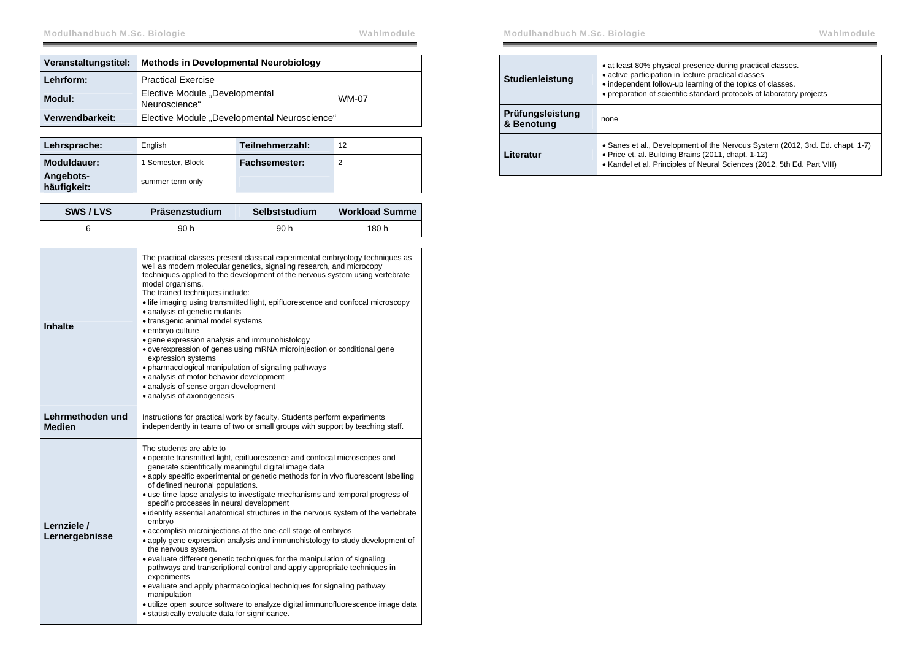| Veranstaltungstitel: | Methods in Developmental Neurobiology           |              |
|----------------------|-------------------------------------------------|--------------|
| Lehrform:            | <b>Practical Exercise</b>                       |              |
| Modul:               | Elective Module "Developmental<br>Neuroscience" | <b>WM-07</b> |
| Verwendbarkeit:      | Elective Module "Developmental Neuroscience"    |              |

| Lehrsprache:             | English           | Teilnehmerzahl: | 12 |
|--------------------------|-------------------|-----------------|----|
| Moduldauer:              | 1 Semester, Block | Fachsemester:   |    |
| Angebots-<br>häufigkeit: | summer term only  |                 |    |

| SWS/LVS | Präsenzstudium | Selbststudium | <b>Workload Summe</b> |
|---------|----------------|---------------|-----------------------|
|         | 90 h           | 90 h          | 180 h                 |

| <b>Inhalte</b>                    | The practical classes present classical experimental embryology techniques as<br>well as modern molecular genetics, signaling research, and microcopy<br>techniques applied to the development of the nervous system using vertebrate<br>model organisms.<br>The trained techniques include:<br>• life imaging using transmitted light, epifluorescence and confocal microscopy<br>· analysis of genetic mutants<br>• transgenic animal model systems<br>· embryo culture<br>· gene expression analysis and immunohistology<br>• overexpression of genes using mRNA microinjection or conditional gene<br>expression systems<br>• pharmacological manipulation of signaling pathways<br>· analysis of motor behavior development<br>• analysis of sense organ development<br>• analysis of axonogenesis                                                                                                                                                                                                                                                                                             |
|-----------------------------------|-----------------------------------------------------------------------------------------------------------------------------------------------------------------------------------------------------------------------------------------------------------------------------------------------------------------------------------------------------------------------------------------------------------------------------------------------------------------------------------------------------------------------------------------------------------------------------------------------------------------------------------------------------------------------------------------------------------------------------------------------------------------------------------------------------------------------------------------------------------------------------------------------------------------------------------------------------------------------------------------------------------------------------------------------------------------------------------------------------|
| Lehrmethoden und<br><b>Medien</b> | Instructions for practical work by faculty. Students perform experiments<br>independently in teams of two or small groups with support by teaching staff.                                                                                                                                                                                                                                                                                                                                                                                                                                                                                                                                                                                                                                                                                                                                                                                                                                                                                                                                           |
| Lernziele /<br>Lernergebnisse     | The students are able to<br>• operate transmitted light, epifluorescence and confocal microscopes and<br>generate scientifically meaningful digital image data<br>• apply specific experimental or genetic methods for in vivo fluorescent labelling<br>of defined neuronal populations.<br>• use time lapse analysis to investigate mechanisms and temporal progress of<br>specific processes in neural development<br>• identify essential anatomical structures in the nervous system of the vertebrate<br>embryo<br>• accomplish microinjections at the one-cell stage of embryos<br>• apply gene expression analysis and immunohistology to study development of<br>the nervous system.<br>• evaluate different genetic techniques for the manipulation of signaling<br>pathways and transcriptional control and apply appropriate techniques in<br>experiments<br>• evaluate and apply pharmacological techniques for signaling pathway<br>manipulation<br>· utilize open source software to analyze digital immunofluorescence image data<br>• statistically evaluate data for significance. |

| <b>Studienleistung</b>         | • at least 80% physical presence during practical classes.<br>• active participation in lecture practical classes<br>• independent follow-up learning of the topics of classes.<br>• preparation of scientific standard protocols of laboratory projects |
|--------------------------------|----------------------------------------------------------------------------------------------------------------------------------------------------------------------------------------------------------------------------------------------------------|
| Prüfungsleistung<br>& Benotung | none                                                                                                                                                                                                                                                     |
| Literatur                      | • Sanes et al., Development of the Nervous System (2012, 3rd. Ed. chapt. 1-7)<br>• Price et. al. Building Brains (2011, chapt. 1-12)<br>• Kandel et al. Principles of Neural Sciences (2012, 5th Ed. Part VIII)                                          |